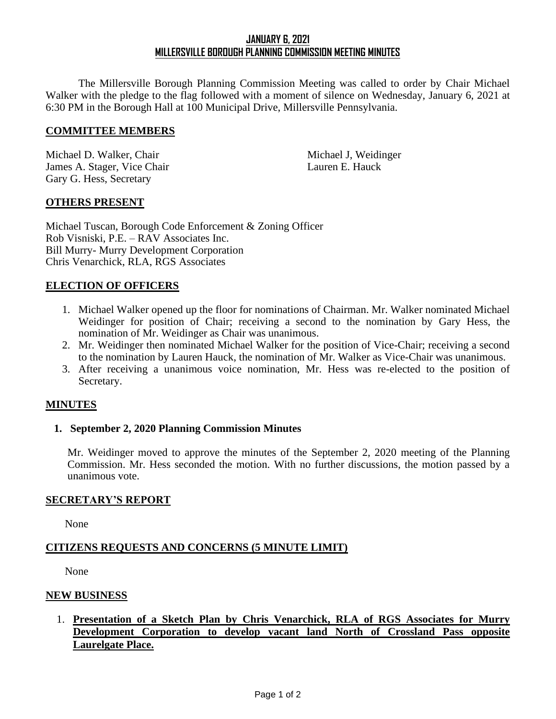# **JANUARY 6, 2021 MILLERSVILLE BOROUGH PLANNING COMMISSION MEETING MINUTES**

The Millersville Borough Planning Commission Meeting was called to order by Chair Michael Walker with the pledge to the flag followed with a moment of silence on Wednesday, January 6, 2021 at 6:30 PM in the Borough Hall at 100 Municipal Drive, Millersville Pennsylvania.

#### **COMMITTEE MEMBERS**

Michael D. Walker, Chair **Michael J. Weidinger** Michael J. Weidinger James A. Stager, Vice Chair Lauren E. Hauck Gary G. Hess, Secretary

### **OTHERS PRESENT**

Michael Tuscan, Borough Code Enforcement & Zoning Officer Rob Visniski, P.E. – RAV Associates Inc. Bill Murry- Murry Development Corporation Chris Venarchick, RLA, RGS Associates

#### **ELECTION OF OFFICERS**

- 1. Michael Walker opened up the floor for nominations of Chairman. Mr. Walker nominated Michael Weidinger for position of Chair; receiving a second to the nomination by Gary Hess, the nomination of Mr. Weidinger as Chair was unanimous.
- 2. Mr. Weidinger then nominated Michael Walker for the position of Vice-Chair; receiving a second to the nomination by Lauren Hauck, the nomination of Mr. Walker as Vice-Chair was unanimous.
- 3. After receiving a unanimous voice nomination, Mr. Hess was re-elected to the position of Secretary.

#### **MINUTES**

#### **1. September 2, 2020 Planning Commission Minutes**

Mr. Weidinger moved to approve the minutes of the September 2, 2020 meeting of the Planning Commission. Mr. Hess seconded the motion. With no further discussions, the motion passed by a unanimous vote.

#### **SECRETARY'S REPORT**

None

### **CITIZENS REQUESTS AND CONCERNS (5 MINUTE LIMIT)**

None

#### **NEW BUSINESS**

1. **Presentation of a Sketch Plan by Chris Venarchick, RLA of RGS Associates for Murry Development Corporation to develop vacant land North of Crossland Pass opposite Laurelgate Place.**